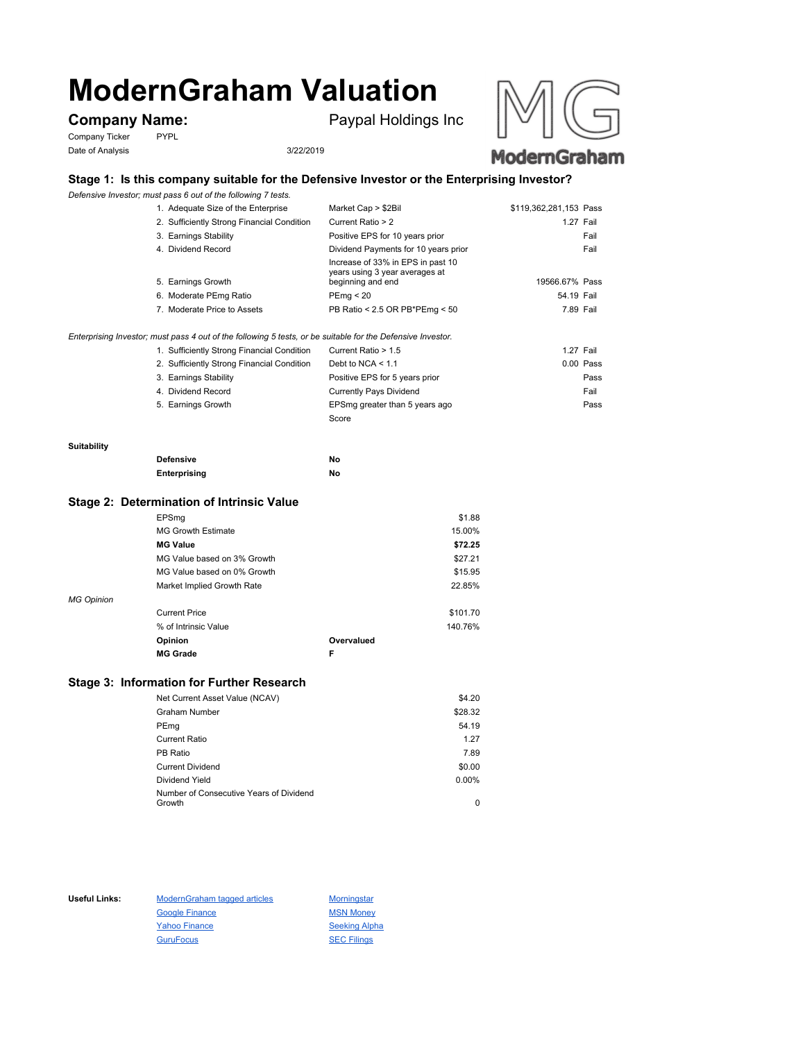# **ModernGraham Valuation**

Company Ticker PYPL Date of Analysis 3/22/2019

**Company Name:** Paypal Holdings Inc





# **Stage 1: Is this company suitable for the Defensive Investor or the Enterprising Investor?**

*Defensive Investor; must pass 6 out of the following 7 tests.*

| 1. Adequate Size of the Enterprise         | Market Cap > \$2Bil                                                                      | \$119,362,281,153 Pass |
|--------------------------------------------|------------------------------------------------------------------------------------------|------------------------|
| 2. Sufficiently Strong Financial Condition | Current Ratio > 2                                                                        | 1.27 Fail              |
| 3. Earnings Stability                      | Positive EPS for 10 years prior                                                          | Fail                   |
| 4. Dividend Record                         | Dividend Payments for 10 years prior                                                     | Fail                   |
| 5. Earnings Growth                         | Increase of 33% in EPS in past 10<br>years using 3 year averages at<br>beginning and end | 19566.67% Pass         |
| 6. Moderate PEmg Ratio                     | PEmq < 20                                                                                | 54.19 Fail             |
| 7. Moderate Price to Assets                | PB Ratio < 2.5 OR PB*PEmg < 50                                                           | 7.89 Fail              |
|                                            |                                                                                          |                        |
|                                            |                                                                                          |                        |

*Enterprising Investor; must pass 4 out of the following 5 tests, or be suitable for the Defensive Investor.*

| 1. Sufficiently Strong Financial Condition | Current Ratio > 1.5            | 1.27 Fail   |
|--------------------------------------------|--------------------------------|-------------|
| 2. Sufficiently Strong Financial Condition | Debt to NCA $<$ 1.1            | $0.00$ Pass |
| 3. Earnings Stability                      | Positive EPS for 5 years prior | Pass        |
| 4. Dividend Record                         | <b>Currently Pays Dividend</b> | Fail        |
| 5. Earnings Growth                         | EPSmg greater than 5 years ago | Pass        |
|                                            | Score                          |             |

#### **Suitability**

| <b>Defensive</b> | No |
|------------------|----|
| Enterprising     | No |

### **Stage 2: Determination of Intrinsic Value**

|                   | <b>MG Grade</b>             | F          |          |
|-------------------|-----------------------------|------------|----------|
|                   | Opinion                     | Overvalued |          |
|                   | % of Intrinsic Value        |            | 140.76%  |
|                   | <b>Current Price</b>        |            | \$101.70 |
| <b>MG Opinion</b> |                             |            |          |
|                   | Market Implied Growth Rate  |            | 22.85%   |
|                   | MG Value based on 0% Growth |            | \$15.95  |
|                   | MG Value based on 3% Growth |            | \$27.21  |
|                   | <b>MG Value</b>             |            | \$72.25  |
|                   | <b>MG Growth Estimate</b>   |            | 15.00%   |
|                   | EPSmg                       |            | \$1.88   |

## **Stage 3: Information for Further Research**

| Net Current Asset Value (NCAV)          | \$4.20   |
|-----------------------------------------|----------|
| Graham Number                           | \$28.32  |
| PEmg                                    | 54.19    |
| Current Ratio                           | 1.27     |
| PB Ratio                                | 7.89     |
| <b>Current Dividend</b>                 | \$0.00   |
| Dividend Yield                          | $0.00\%$ |
| Number of Consecutive Years of Dividend |          |
| Growth                                  | 0        |

Useful Links: ModernGraham tagged articles Morningstar Google Finance MSN Money Yahoo Finance Seeking Alpha GuruFocus SEC Filings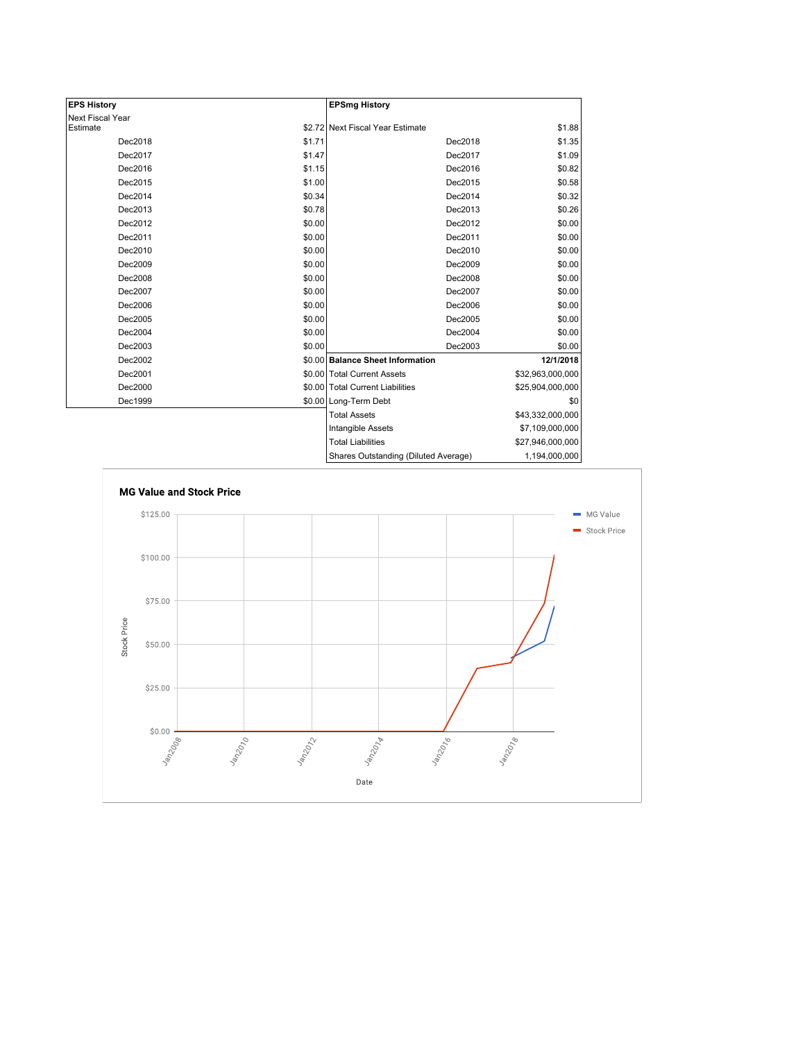| <b>EPS History</b> |        | <b>EPSmg History</b>                 |                  |
|--------------------|--------|--------------------------------------|------------------|
| Next Fiscal Year   |        |                                      |                  |
| Estimate           |        | \$2.72 Next Fiscal Year Estimate     | \$1.88           |
| Dec2018            | \$1.71 | Dec2018                              | \$1.35           |
| Dec2017            | \$1.47 | Dec2017                              | \$1.09           |
| Dec2016            | \$1.15 | Dec2016                              | \$0.82           |
| Dec2015            | \$1.00 | Dec2015                              | \$0.58           |
| Dec2014            | \$0.34 | Dec2014                              | \$0.32           |
| Dec2013            | \$0.78 | Dec2013                              | \$0.26           |
| Dec2012            | \$0.00 | Dec2012                              | \$0.00           |
| Dec2011            | \$0.00 | Dec2011                              | \$0.00           |
| Dec2010            | \$0.00 | Dec2010                              | \$0.00           |
| Dec2009            | \$0.00 | Dec2009                              | \$0.00           |
| Dec2008            | \$0.00 | Dec2008                              | \$0.00           |
| Dec2007            | \$0.00 | Dec2007                              | \$0.00           |
| Dec2006            | \$0.00 | Dec2006                              | \$0.00           |
| Dec2005            | \$0.00 | Dec2005                              | \$0.00           |
| Dec2004            | \$0.00 | Dec2004                              | \$0.00           |
| Dec2003            | \$0.00 | Dec2003                              | \$0.00           |
| Dec2002            |        | \$0.00 Balance Sheet Information     | 12/1/2018        |
| Dec2001            |        | \$0.00 Total Current Assets          | \$32,963,000,000 |
| Dec2000            |        | \$0.00 Total Current Liabilities     | \$25,904,000,000 |
| Dec1999            |        | \$0.00 Long-Term Debt                | \$0              |
|                    |        | <b>Total Assets</b>                  | \$43,332,000,000 |
|                    |        | Intangible Assets                    | \$7,109,000,000  |
|                    |        | <b>Total Liabilities</b>             | \$27,946,000,000 |
|                    |        | Shares Outstanding (Diluted Average) | 1.194.000.000    |